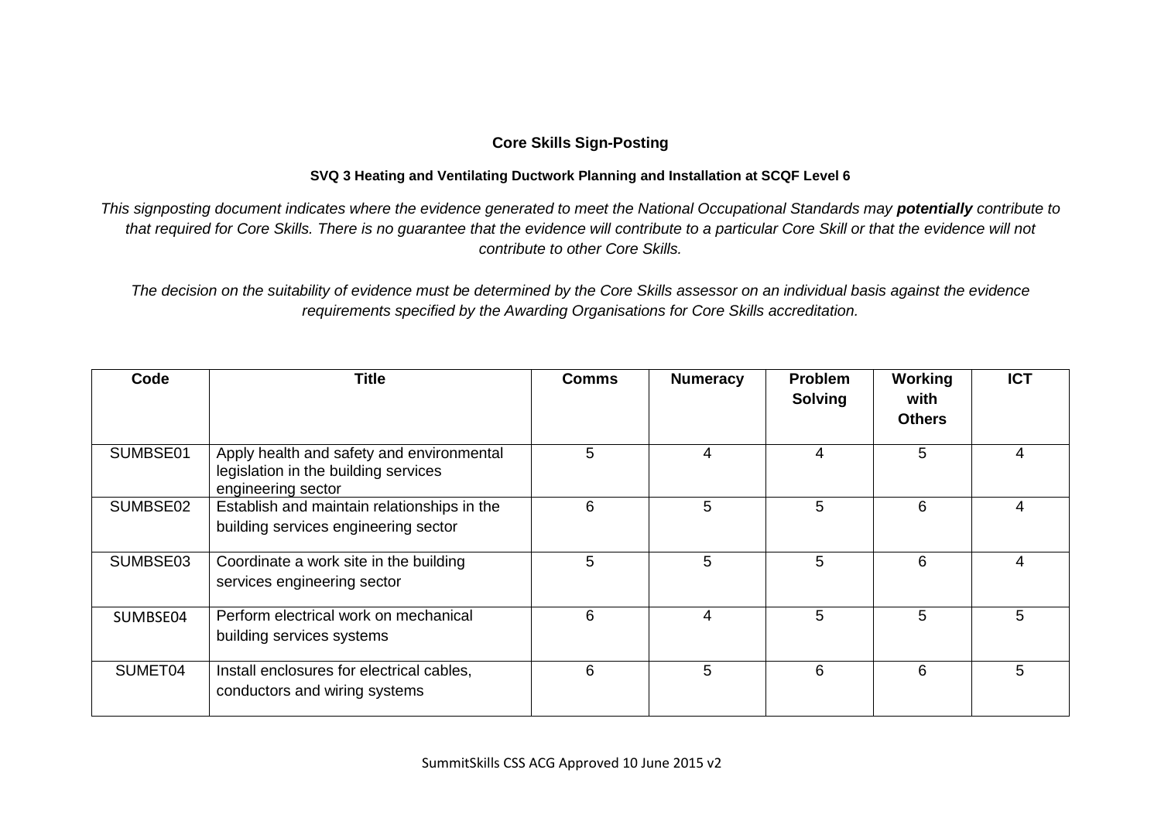## **Core Skills Sign-Posting**

## **SVQ 3 Heating and Ventilating Ductwork Planning and Installation at SCQF Level 6**

*This signposting document indicates where the evidence generated to meet the National Occupational Standards may potentially contribute to that required for Core Skills. There is no guarantee that the evidence will contribute to a particular Core Skill or that the evidence will not contribute to other Core Skills.*

*The decision on the suitability of evidence must be determined by the Core Skills assessor on an individual basis against the evidence requirements specified by the Awarding Organisations for Core Skills accreditation.*

| Code     | Title                                                                                                   | <b>Comms</b> | <b>Numeracy</b> | <b>Problem</b><br><b>Solving</b> | Working<br>with<br><b>Others</b> | <b>ICT</b> |
|----------|---------------------------------------------------------------------------------------------------------|--------------|-----------------|----------------------------------|----------------------------------|------------|
| SUMBSE01 | Apply health and safety and environmental<br>legislation in the building services<br>engineering sector | 5            | 4               | 4                                | 5                                |            |
| SUMBSE02 | Establish and maintain relationships in the<br>building services engineering sector                     | 6            | 5               | 5                                | 6                                | 4          |
| SUMBSE03 | Coordinate a work site in the building<br>services engineering sector                                   | 5            | 5               | 5                                | 6                                | 4          |
| SUMBSE04 | Perform electrical work on mechanical<br>building services systems                                      | 6            | 4               | 5                                | 5                                | 5          |
| SUMET04  | Install enclosures for electrical cables,<br>conductors and wiring systems                              | 6            | 5               | 6                                | 6                                | 5          |